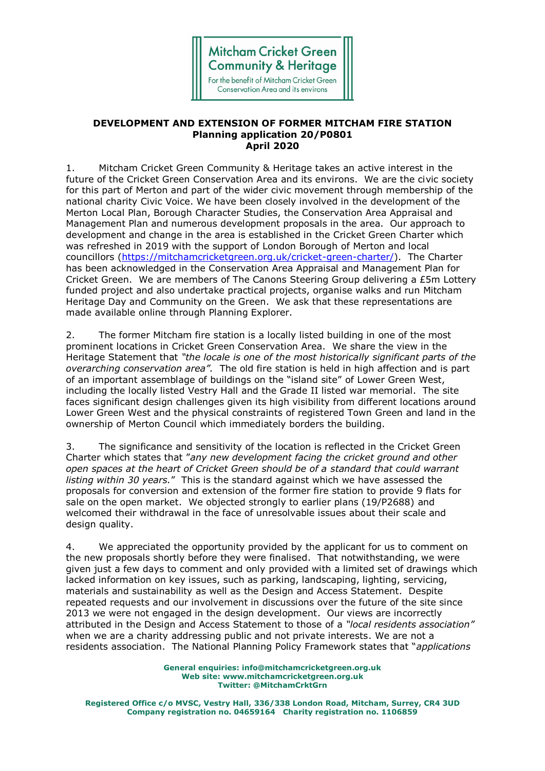

## **DEVELOPMENT AND EXTENSION OF FORMER MITCHAM FIRE STATION Planning application 20/P0801 April 2020**

1. Mitcham Cricket Green Community & Heritage takes an active interest in the future of the Cricket Green Conservation Area and its environs. We are the civic society for this part of Merton and part of the wider civic movement through membership of the national charity Civic Voice. We have been closely involved in the development of the Merton Local Plan, Borough Character Studies, the Conservation Area Appraisal and Management Plan and numerous development proposals in the area. Our approach to development and change in the area is established in the Cricket Green Charter which was refreshed in 2019 with the support of London Borough of Merton and local councillors [\(https://mitchamcricketgreen.org.uk/cricket-green-charter/\)](https://mitchamcricketgreen.org.uk/cricket-green-charter/). The Charter has been acknowledged in the Conservation Area Appraisal and Management Plan for Cricket Green. We are members of The Canons Steering Group delivering a £5m Lottery funded project and also undertake practical projects, organise walks and run Mitcham Heritage Day and Community on the Green. We ask that these representations are made available online through Planning Explorer.

2. The former Mitcham fire station is a locally listed building in one of the most prominent locations in Cricket Green Conservation Area. We share the view in the Heritage Statement that *"the locale is one of the most historically significant parts of the overarching conservation area".* The old fire station is held in high affection and is part of an important assemblage of buildings on the "island site" of Lower Green West, including the locally listed Vestry Hall and the Grade II listed war memorial. The site faces significant design challenges given its high visibility from different locations around Lower Green West and the physical constraints of registered Town Green and land in the ownership of Merton Council which immediately borders the building.

3. The significance and sensitivity of the location is reflected in the Cricket Green Charter which states that "*any new development facing the cricket ground and other open spaces at the heart of Cricket Green should be of a standard that could warrant listing within 30 years.*" This is the standard against which we have assessed the proposals for conversion and extension of the former fire station to provide 9 flats for sale on the open market. We objected strongly to earlier plans (19/P2688) and welcomed their withdrawal in the face of unresolvable issues about their scale and design quality.

4. We appreciated the opportunity provided by the applicant for us to comment on the new proposals shortly before they were finalised. That notwithstanding, we were given just a few days to comment and only provided with a limited set of drawings which lacked information on key issues, such as parking, landscaping, lighting, servicing, materials and sustainability as well as the Design and Access Statement. Despite repeated requests and our involvement in discussions over the future of the site since 2013 we were not engaged in the design development. Our views are incorrectly attributed in the Design and Access Statement to those of a *"local residents association"*  when we are a charity addressing public and not private interests. We are not a residents association. The National Planning Policy Framework states that "*applications* 

> **General enquiries: info@mitchamcricketgreen.org.uk Web site: www.mitchamcricketgreen.org.uk Twitter: @MitchamCrktGrn**

**Registered Office c/o MVSC, Vestry Hall, 336/338 London Road, Mitcham, Surrey, CR4 3UD Company registration no. 04659164 Charity registration no. 1106859**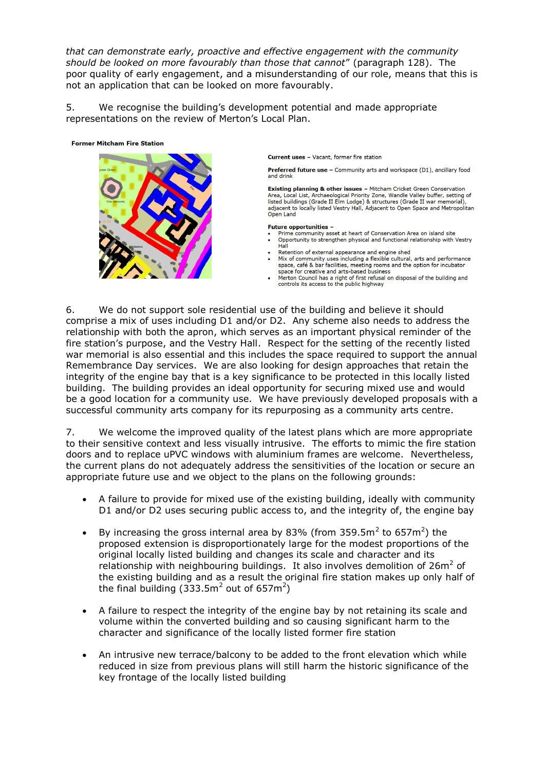*that can demonstrate early, proactive and effective engagement with the community should be looked on more favourably than those that cannot*" (paragraph 128). The poor quality of early engagement, and a misunderstanding of our role, means that this is not an application that can be looked on more favourably.

5. We recognise the building's development potential and made appropriate representations on the review of Merton's Local Plan.

## **Former Mitcham Fire Station**



**Current uses - Vacant, former fire station** 

**Preferred future use - Community arts and workspace (D1), ancillary food** and drink

**Existing planning & other issues - Mitcham Cricket Green Conservation Existing pramining & other issues –** mitchain Critical Warel, Local List, Archaeological Priority Zondle Valde Valley burght listed buildings (Grade II Elm Lodge) & structures (Grade II war memorial), adjacent to locally listed Vestry Hall, Adjacent to Open Space and Metropolitan Open Land

## **Future opportunities -**

- Hall
- Retention of external appearance and engine shed
- Mix of community uses including a flexible cultural, arts and performance space, café & bar facilities, meeting rooms and the option for incubator space for creative and arts-based business
- Merton Council has a right of first refusal on disposal of the building and controls its access to the public highway

6. We do not support sole residential use of the building and believe it should comprise a mix of uses including D1 and/or D2. Any scheme also needs to address the relationship with both the apron, which serves as an important physical reminder of the fire station's purpose, and the Vestry Hall. Respect for the setting of the recently listed war memorial is also essential and this includes the space required to support the annual Remembrance Day services. We are also looking for design approaches that retain the integrity of the engine bay that is a key significance to be protected in this locally listed building. The building provides an ideal opportunity for securing mixed use and would be a good location for a community use. We have previously developed proposals with a successful community arts company for its repurposing as a community arts centre.

7. We welcome the improved quality of the latest plans which are more appropriate to their sensitive context and less visually intrusive. The efforts to mimic the fire station doors and to replace uPVC windows with aluminium frames are welcome. Nevertheless, the current plans do not adequately address the sensitivities of the location or secure an appropriate future use and we object to the plans on the following grounds:

- A failure to provide for mixed use of the existing building, ideally with community D1 and/or D2 uses securing public access to, and the integrity of, the engine bay
- By increasing the gross internal area by 83% (from 359.5m<sup>2</sup> to 657m<sup>2</sup>) the proposed extension is disproportionately large for the modest proportions of the original locally listed building and changes its scale and character and its relationship with neighbouring buildings. It also involves demolition of  $26m^2$  of the existing building and as a result the original fire station makes up only half of the final building (333.5m<sup>2</sup> out of 657m<sup>2</sup>)
- A failure to respect the integrity of the engine bay by not retaining its scale and volume within the converted building and so causing significant harm to the character and significance of the locally listed former fire station
- An intrusive new terrace/balcony to be added to the front elevation which while reduced in size from previous plans will still harm the historic significance of the key frontage of the locally listed building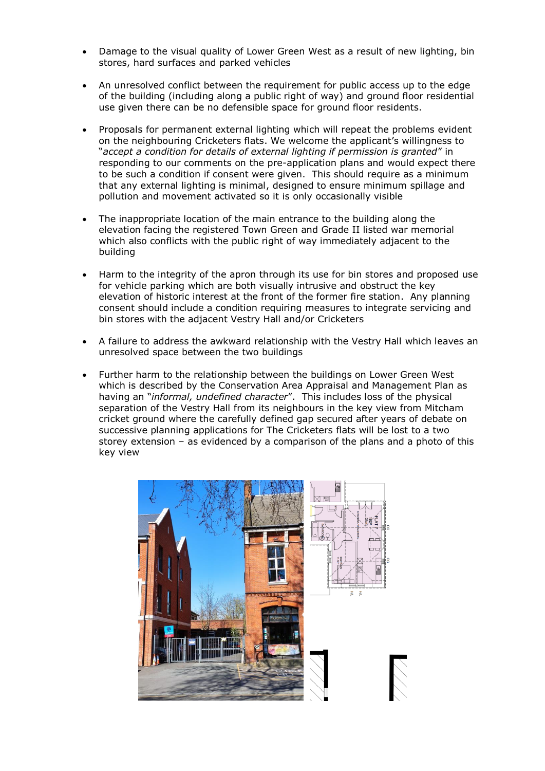- Damage to the visual quality of Lower Green West as a result of new lighting, bin stores, hard surfaces and parked vehicles
- An unresolved conflict between the requirement for public access up to the edge of the building (including along a public right of way) and ground floor residential use given there can be no defensible space for ground floor residents.
- Proposals for permanent external lighting which will repeat the problems evident on the neighbouring Cricketers flats. We welcome the applicant's willingness to "*accept a condition for details of external lighting if permission is granted*" in responding to our comments on the pre-application plans and would expect there to be such a condition if consent were given. This should require as a minimum that any external lighting is minimal, designed to ensure minimum spillage and pollution and movement activated so it is only occasionally visible
- The inappropriate location of the main entrance to the building along the elevation facing the registered Town Green and Grade II listed war memorial which also conflicts with the public right of way immediately adjacent to the building
- Harm to the integrity of the apron through its use for bin stores and proposed use for vehicle parking which are both visually intrusive and obstruct the key elevation of historic interest at the front of the former fire station. Any planning consent should include a condition requiring measures to integrate servicing and bin stores with the adjacent Vestry Hall and/or Cricketers
- A failure to address the awkward relationship with the Vestry Hall which leaves an unresolved space between the two buildings
- Further harm to the relationship between the buildings on Lower Green West which is described by the Conservation Area Appraisal and Management Plan as having an "*informal, undefined character*". This includes loss of the physical separation of the Vestry Hall from its neighbours in the key view from Mitcham cricket ground where the carefully defined gap secured after years of debate on successive planning applications for The Cricketers flats will be lost to a two storey extension – as evidenced by a comparison of the plans and a photo of this key view